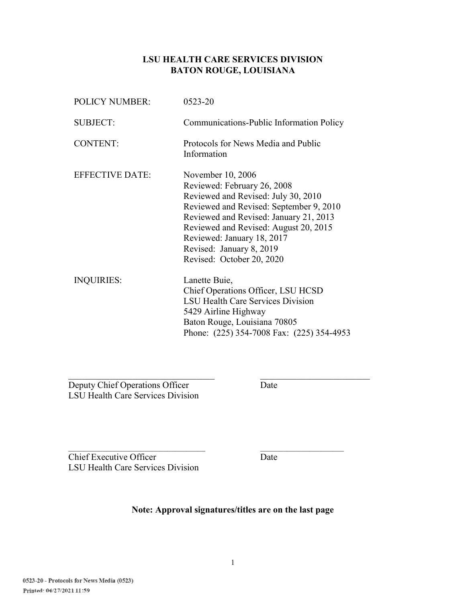#### **LSU HEALTH CARE SERVICES DIVISION BATON ROUGE, LOUISIANA**

| <b>POLICY NUMBER:</b>  | 0523-20                                                                                                                                                                                                                                                                                                      |
|------------------------|--------------------------------------------------------------------------------------------------------------------------------------------------------------------------------------------------------------------------------------------------------------------------------------------------------------|
| <b>SUBJECT:</b>        | Communications-Public Information Policy                                                                                                                                                                                                                                                                     |
| <b>CONTENT:</b>        | Protocols for News Media and Public<br>Information                                                                                                                                                                                                                                                           |
| <b>EFFECTIVE DATE:</b> | November 10, 2006<br>Reviewed: February 26, 2008<br>Reviewed and Revised: July 30, 2010<br>Reviewed and Revised: September 9, 2010<br>Reviewed and Revised: January 21, 2013<br>Reviewed and Revised: August 20, 2015<br>Reviewed: January 18, 2017<br>Revised: January 8, 2019<br>Revised: October 20, 2020 |
| <b>INQUIRIES:</b>      | Lanette Buie,<br>Chief Operations Officer, LSU HCSD<br><b>LSU Health Care Services Division</b><br>5429 Airline Highway<br>Baton Rouge, Louisiana 70805<br>Phone: (225) 354-7008 Fax: (225) 354-4953                                                                                                         |

Deputy Chief Operations Officer Date LSU Health Care Services Division

**Chief Executive Officer** Date LSU Health Care Services Division

**Note: Approval signatures/titles are on the last page** 

 $\mathcal{L}_\text{max}$  , and the set of the set of the set of the set of the set of the set of the set of the set of the set of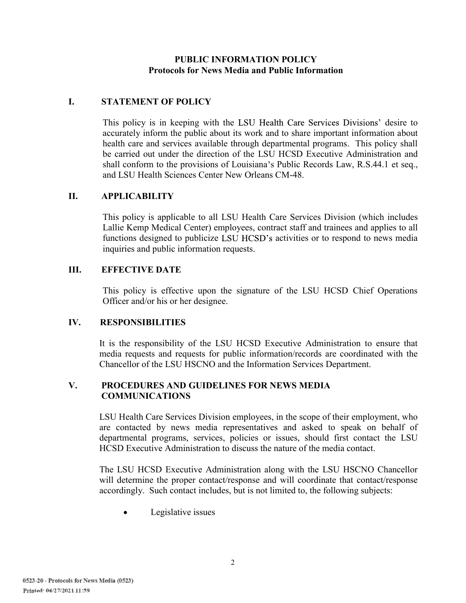#### **PUBLIC INFORMATION POLICY Protocols for News Media and Public Information**

# **I. STATEMENT OF POLICY**

This policy is in keeping with the LSU Health Care Services Divisions' desire to accurately inform the public about its work and to share important information about health care and services available through departmental programs. This policy shall be carried out under the direction of the LSU HCSD Executive Administration and shall conform to the provisions of Louisiana's Public Records Law, R.S.44.1 et seq., and LSU Health Sciences Center New Orleans CM-48.

#### **II. APPLICABILITY**

This policy is applicable to all LSU Health Care Services Division (which includes Lallie Kemp Medical Center) employees, contract staff and trainees and applies to all functions designed to publicize LSU HCSD's activities or to respond to news media inquiries and public information requests.

#### **III. EFFECTIVE DATE**

This policy is effective upon the signature of the LSU HCSD Chief Operations Officer and/or his or her designee.

# **IV. RESPONSIBILITIES**

It is the responsibility of the LSU HCSD Executive Administration to ensure that media requests and requests for public information/records are coordinated with the Chancellor of the LSU HSCNO and the Information Services Department.

# **V. PROCEDURES AND GUIDELINES FOR NEWS MEDIA COMMUNICATIONS**

LSU Health Care Services Division employees, in the scope of their employment, who are contacted by news media representatives and asked to speak on behalf of departmental programs, services, policies or issues, should first contact the LSU HCSD Executive Administration to discuss the nature of the media contact.

The LSU HCSD Executive Administration along with the LSU HSCNO Chancellor will determine the proper contact/response and will coordinate that contact/response accordingly. Such contact includes, but is not limited to, the following subjects:

Legislative issues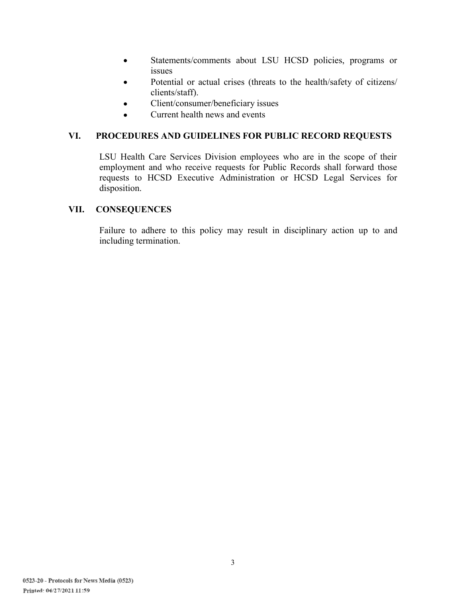- Statements/comments about LSU HCSD policies, programs or  $\bullet$ issues
- Potential or actual crises (threats to the health/safety of citizens/  $\bullet$ clients/staff).
- Client/consumer/beneficiary issues  $\bullet$
- Current health news and events  $\bullet$

# **VI. PROCEDURES AND GUIDELINES FOR PUBLIC RECORD REQUESTS**

LSU Health Care Services Division employees who are in the scope of their employment and who receive requests for Public Records shall forward those requests to HCSD Executive Administration or HCSD Legal Services for disposition.

# **VII. CONSEQUENCES**

Failure to adhere to this policy may result in disciplinary action up to and including termination.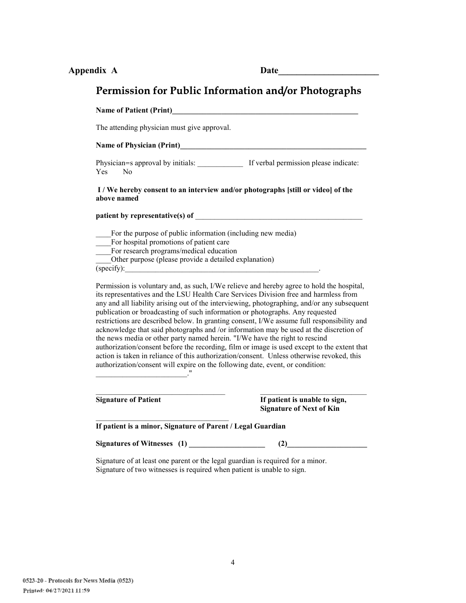| Appendix A |  |  |
|------------|--|--|
|------------|--|--|

**Appendix A Date\_\_\_\_\_\_\_\_\_\_\_\_\_\_\_\_\_\_\_\_\_\_** 

# Permission for Public Information and/or Photographs

| <b>Name of Patient (Print)</b>                                                                                                                                                                                                                                                                                                                                                                                                                                                                     |                                                                                                                                                                                                                                                                                                                                                                                                                                                                                                                                                                              |
|----------------------------------------------------------------------------------------------------------------------------------------------------------------------------------------------------------------------------------------------------------------------------------------------------------------------------------------------------------------------------------------------------------------------------------------------------------------------------------------------------|------------------------------------------------------------------------------------------------------------------------------------------------------------------------------------------------------------------------------------------------------------------------------------------------------------------------------------------------------------------------------------------------------------------------------------------------------------------------------------------------------------------------------------------------------------------------------|
| The attending physician must give approval.                                                                                                                                                                                                                                                                                                                                                                                                                                                        |                                                                                                                                                                                                                                                                                                                                                                                                                                                                                                                                                                              |
| Name of Physician (Print)<br><u>Name of Physician (Print)</u>                                                                                                                                                                                                                                                                                                                                                                                                                                      |                                                                                                                                                                                                                                                                                                                                                                                                                                                                                                                                                                              |
| Physician=s approval by initials: _______________ If verbal permission please indicate:<br>Yes.<br>N <sub>0</sub>                                                                                                                                                                                                                                                                                                                                                                                  |                                                                                                                                                                                                                                                                                                                                                                                                                                                                                                                                                                              |
| I / We hereby consent to an interview and/or photographs [still or video] of the<br>above named                                                                                                                                                                                                                                                                                                                                                                                                    |                                                                                                                                                                                                                                                                                                                                                                                                                                                                                                                                                                              |
|                                                                                                                                                                                                                                                                                                                                                                                                                                                                                                    |                                                                                                                                                                                                                                                                                                                                                                                                                                                                                                                                                                              |
| For hospital promotions of patient care<br>For research programs/medical education<br>Other purpose (please provide a detailed explanation)<br>(specify):<br>its representatives and the LSU Health Care Services Division free and harmless from<br>publication or broadcasting of such information or photographs. Any requested<br>the news media or other party named herein. "I/We have the right to rescind<br>authorization/consent will expire on the following date, event, or condition: | Permission is voluntary and, as such, I/We relieve and hereby agree to hold the hospital,<br>any and all liability arising out of the interviewing, photographing, and/or any subsequent<br>restrictions are described below. In granting consent, I/We assume full responsibility and<br>acknowledge that said photographs and /or information may be used at the discretion of<br>authorization/consent before the recording, film or image is used except to the extent that<br>action is taken in reliance of this authorization/consent. Unless otherwise revoked, this |
| <b>Signature of Patient</b>                                                                                                                                                                                                                                                                                                                                                                                                                                                                        | If patient is unable to sign,<br><b>Signature of Next of Kin</b>                                                                                                                                                                                                                                                                                                                                                                                                                                                                                                             |
|                                                                                                                                                                                                                                                                                                                                                                                                                                                                                                    |                                                                                                                                                                                                                                                                                                                                                                                                                                                                                                                                                                              |
| If patient is a minor, Signature of Parent / Legal Guardian                                                                                                                                                                                                                                                                                                                                                                                                                                        |                                                                                                                                                                                                                                                                                                                                                                                                                                                                                                                                                                              |
|                                                                                                                                                                                                                                                                                                                                                                                                                                                                                                    | (2)                                                                                                                                                                                                                                                                                                                                                                                                                                                                                                                                                                          |
| Signature of at least one parent or the legal guardian is required for a minor.                                                                                                                                                                                                                                                                                                                                                                                                                    |                                                                                                                                                                                                                                                                                                                                                                                                                                                                                                                                                                              |

Signature of two witnesses is required when patient is unable to sign.